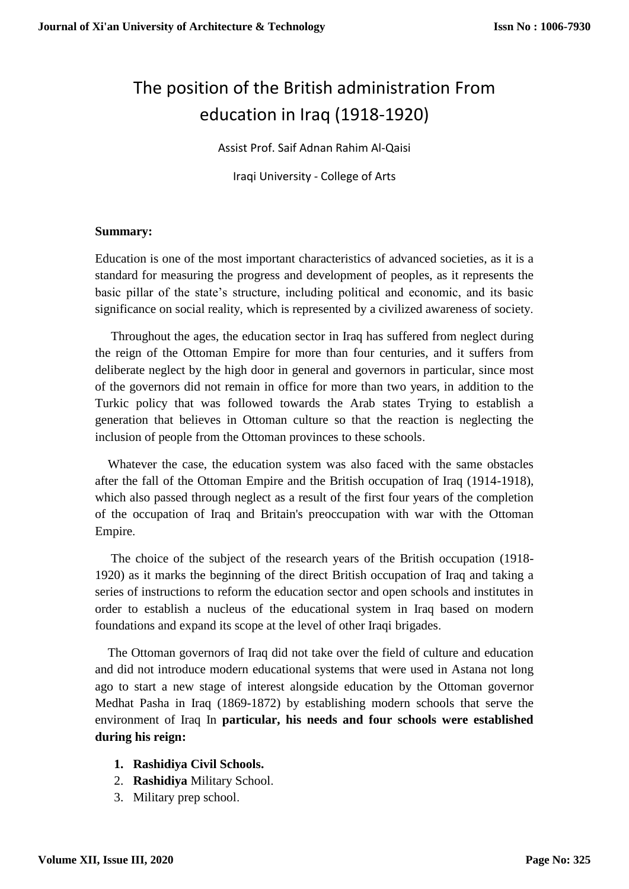# The position of the British administration From education in Iraq (1918-1920)

Assist Prof. Saif Adnan Rahim Al-Qaisi

Iraqi University - College of Arts

#### **Summary:**

Education is one of the most important characteristics of advanced societies, as it is a standard for measuring the progress and development of peoples, as it represents the basic pillar of the state's structure, including political and economic, and its basic significance on social reality, which is represented by a civilized awareness of society.

Throughout the ages, the education sector in Iraq has suffered from neglect during the reign of the Ottoman Empire for more than four centuries, and it suffers from deliberate neglect by the high door in general and governors in particular, since most of the governors did not remain in office for more than two years, in addition to the Turkic policy that was followed towards the Arab states Trying to establish a generation that believes in Ottoman culture so that the reaction is neglecting the inclusion of people from the Ottoman provinces to these schools.

Whatever the case, the education system was also faced with the same obstacles after the fall of the Ottoman Empire and the British occupation of Iraq (1914-1918), which also passed through neglect as a result of the first four years of the completion of the occupation of Iraq and Britain's preoccupation with war with the Ottoman Empire.

The choice of the subject of the research years of the British occupation (1918- 1920) as it marks the beginning of the direct British occupation of Iraq and taking a series of instructions to reform the education sector and open schools and institutes in order to establish a nucleus of the educational system in Iraq based on modern foundations and expand its scope at the level of other Iraqi brigades.

The Ottoman governors of Iraq did not take over the field of culture and education and did not introduce modern educational systems that were used in Astana not long ago to start a new stage of interest alongside education by the Ottoman governor Medhat Pasha in Iraq (1869-1872) by establishing modern schools that serve the environment of Iraq In **particular, his needs and four schools were established during his reign:**

- **1. Rashidiya Civil Schools.**
- 2. **Rashidiya** Military School.
- 3. Military prep school.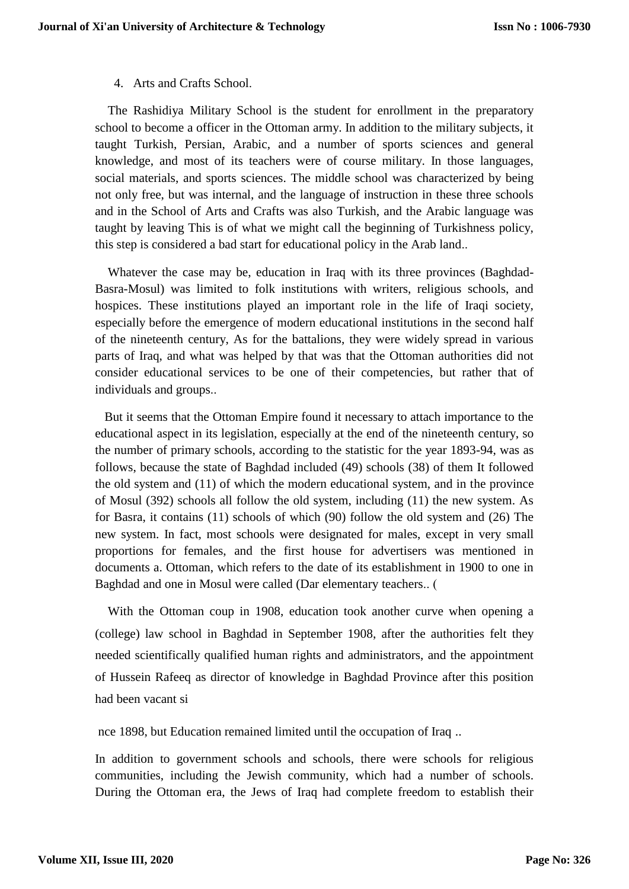#### 4. Arts and Crafts School.

The Rashidiya Military School is the student for enrollment in the preparatory school to become a officer in the Ottoman army. In addition to the military subjects, it taught Turkish, Persian, Arabic, and a number of sports sciences and general knowledge, and most of its teachers were of course military. In those languages, social materials, and sports sciences. The middle school was characterized by being not only free, but was internal, and the language of instruction in these three schools and in the School of Arts and Crafts was also Turkish, and the Arabic language was taught by leaving This is of what we might call the beginning of Turkishness policy, this step is considered a bad start for educational policy in the Arab land..

Whatever the case may be, education in Iraq with its three provinces (Baghdad-Basra-Mosul) was limited to folk institutions with writers, religious schools, and hospices. These institutions played an important role in the life of Iraqi society, especially before the emergence of modern educational institutions in the second half of the nineteenth century, As for the battalions, they were widely spread in various parts of Iraq, and what was helped by that was that the Ottoman authorities did not consider educational services to be one of their competencies, but rather that of individuals and groups..

But it seems that the Ottoman Empire found it necessary to attach importance to the educational aspect in its legislation, especially at the end of the nineteenth century, so the number of primary schools, according to the statistic for the year 1893-94, was as follows, because the state of Baghdad included (49) schools (38) of them It followed the old system and (11) of which the modern educational system, and in the province of Mosul (392) schools all follow the old system, including (11) the new system. As for Basra, it contains (11) schools of which (90) follow the old system and (26) The new system. In fact, most schools were designated for males, except in very small proportions for females, and the first house for advertisers was mentioned in documents a. Ottoman, which refers to the date of its establishment in 1900 to one in Baghdad and one in Mosul were called (Dar elementary teachers..  $($ 

 With the Ottoman coup in 1908, education took another curve when opening a (college) law school in Baghdad in September 1908, after the authorities felt they needed scientifically qualified human rights and administrators, and the appointment of Hussein Rafeeq as director of knowledge in Baghdad Province after this position had been vacant si

nce 1898, but Education remained limited until the occupation of Iraq ..

In addition to government schools and schools, there were schools for religious communities, including the Jewish community, which had a number of schools. During the Ottoman era, the Jews of Iraq had complete freedom to establish their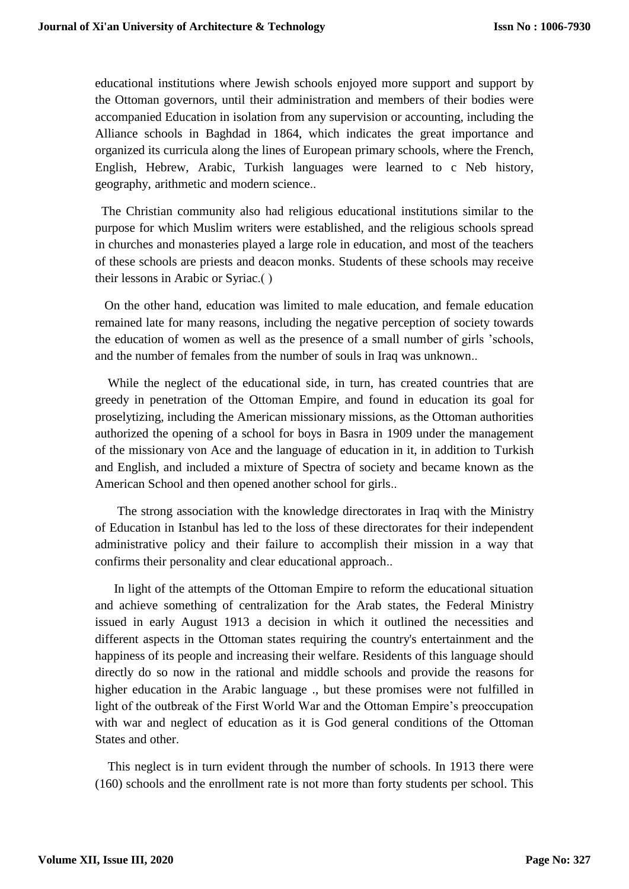educational institutions where Jewish schools enjoyed more support and support by the Ottoman governors, until their administration and members of their bodies were accompanied Education in isolation from any supervision or accounting, including the Alliance schools in Baghdad in 1864, which indicates the great importance and organized its curricula along the lines of European primary schools, where the French, English, Hebrew, Arabic, Turkish languages were learned to c Neb history, geography, arithmetic and modern science..

The Christian community also had religious educational institutions similar to the purpose for which Muslim writers were established, and the religious schools spread in churches and monasteries played a large role in education, and most of the teachers of these schools are priests and deacon monks. Students of these schools may receive their lessons in Arabic or Syriac.) (

On the other hand, education was limited to male education, and female education remained late for many reasons, including the negative perception of society towards the education of women as well as the presence of a small number of girls 'schools, and the number of females from the number of souls in Iraq was unknown..

While the neglect of the educational side, in turn, has created countries that are greedy in penetration of the Ottoman Empire, and found in education its goal for proselytizing, including the American missionary missions, as the Ottoman authorities authorized the opening of a school for boys in Basra in 1909 under the management of the missionary von Ace and the language of education in it, in addition to Turkish and English, and included a mixture of Spectra of society and became known as the American School and then opened another school for girls..

The strong association with the knowledge directorates in Iraq with the Ministry of Education in Istanbul has led to the loss of these directorates for their independent administrative policy and their failure to accomplish their mission in a way that confirms their personality and clear educational approach..

In light of the attempts of the Ottoman Empire to reform the educational situation and achieve something of centralization for the Arab states, the Federal Ministry issued in early August 1913 a decision in which it outlined the necessities and different aspects in the Ottoman states requiring the country's entertainment and the happiness of its people and increasing their welfare. Residents of this language should directly do so now in the rational and middle schools and provide the reasons for higher education in the Arabic language ., but these promises were not fulfilled in light of the outbreak of the First World War and the Ottoman Empire's preoccupation with war and neglect of education as it is God general conditions of the Ottoman States and other.

This neglect is in turn evident through the number of schools. In 1913 there were (160) schools and the enrollment rate is not more than forty students per school. This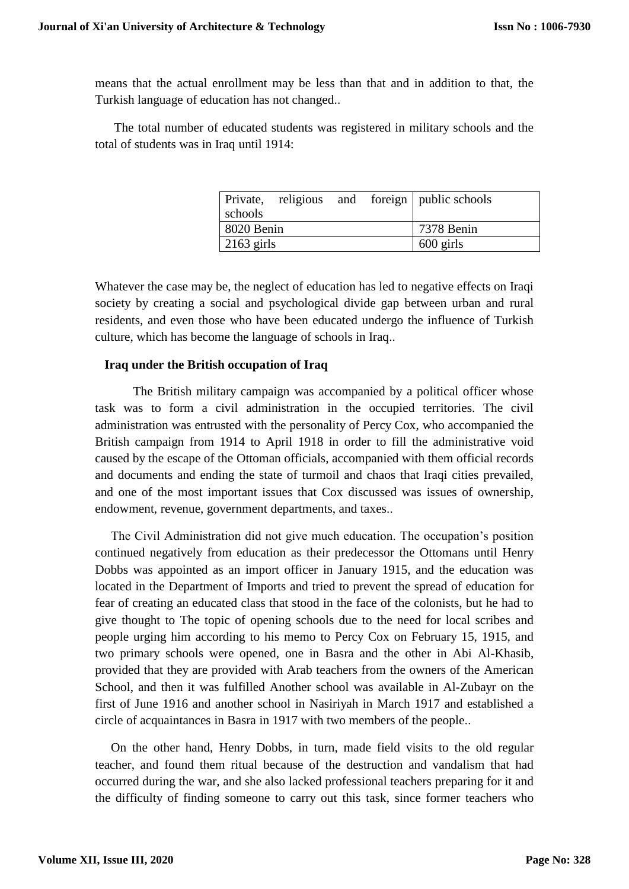means that the actual enrollment may be less than that and in addition to that, the Turkish language of education has not changed..

The total number of educated students was registered in military schools and the total of students was in Iraq until 1914:

|              |  |  |  | Private, religious and foreign public schools |
|--------------|--|--|--|-----------------------------------------------|
| schools      |  |  |  |                                               |
| 8020 Benin   |  |  |  | 7378 Benin                                    |
| $2163$ girls |  |  |  | $600$ girls                                   |

Whatever the case may be, the neglect of education has led to negative effects on Iraqi society by creating a social and psychological divide gap between urban and rural residents, and even those who have been educated undergo the influence of Turkish culture, which has become the language of schools in Iraq..

### **Iraq under the British occupation of Iraq**

The British military campaign was accompanied by a political officer whose task was to form a civil administration in the occupied territories. The civil administration was entrusted with the personality of Percy Cox, who accompanied the British campaign from 1914 to April 1918 in order to fill the administrative void caused by the escape of the Ottoman officials, accompanied with them official records and documents and ending the state of turmoil and chaos that Iraqi cities prevailed, and one of the most important issues that Cox discussed was issues of ownership, endowment, revenue, government departments, and taxes..

The Civil Administration did not give much education. The occupation's position continued negatively from education as their predecessor the Ottomans until Henry Dobbs was appointed as an import officer in January 1915, and the education was located in the Department of Imports and tried to prevent the spread of education for fear of creating an educated class that stood in the face of the colonists, but he had to give thought to The topic of opening schools due to the need for local scribes and people urging him according to his memo to Percy Cox on February 15, 1915, and two primary schools were opened, one in Basra and the other in Abi Al-Khasib, provided that they are provided with Arab teachers from the owners of the American School, and then it was fulfilled Another school was available in Al-Zubayr on the first of June 1916 and another school in Nasiriyah in March 1917 and established a circle of acquaintances in Basra in 1917 with two members of the people..

On the other hand, Henry Dobbs, in turn, made field visits to the old regular teacher, and found them ritual because of the destruction and vandalism that had occurred during the war, and she also lacked professional teachers preparing for it and the difficulty of finding someone to carry out this task, since former teachers who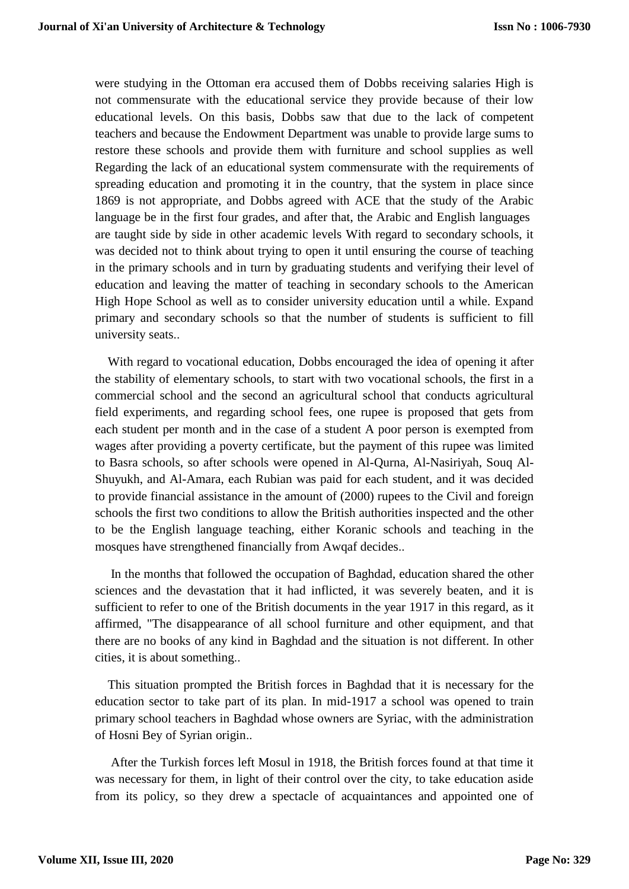were studying in the Ottoman era accused them of Dobbs receiving salaries High is not commensurate with the educational service they provide because of their low educational levels. On this basis, Dobbs saw that due to the lack of competent teachers and because the Endowment Department was unable to provide large sums to restore these schools and provide them with furniture and school supplies as well Regarding the lack of an educational system commensurate with the requirements of spreading education and promoting it in the country, that the system in place since 1869 is not appropriate, and Dobbs agreed with ACE that the study of the Arabic language be in the first four grades, and after that, the Arabic and English languages are taught side by side in other academic levels With regard to secondary schools, it was decided not to think about trying to open it until ensuring the course of teaching in the primary schools and in turn by graduating students and verifying their level of education and leaving the matter of teaching in secondary schools to the American High Hope School as well as to consider university education until a while. Expand primary and secondary schools so that the number of students is sufficient to fill university seats..

With regard to vocational education, Dobbs encouraged the idea of opening it after the stability of elementary schools, to start with two vocational schools, the first in a commercial school and the second an agricultural school that conducts agricultural field experiments, and regarding school fees, one rupee is proposed that gets from each student per month and in the case of a student A poor person is exempted from wages after providing a poverty certificate, but the payment of this rupee was limited to Basra schools, so after schools were opened in Al-Qurna, Al-Nasiriyah, Souq Al-Shuyukh, and Al-Amara, each Rubian was paid for each student, and it was decided to provide financial assistance in the amount of (2000) rupees to the Civil and foreign schools the first two conditions to allow the British authorities inspected and the other to be the English language teaching, either Koranic schools and teaching in the mosques have strengthened financially from Awqaf decides..

In the months that followed the occupation of Baghdad, education shared the other sciences and the devastation that it had inflicted, it was severely beaten, and it is sufficient to refer to one of the British documents in the year 1917 in this regard, as it affirmed, "The disappearance of all school furniture and other equipment, and that there are no books of any kind in Baghdad and the situation is not different. In other cities, it is about something..

This situation prompted the British forces in Baghdad that it is necessary for the education sector to take part of its plan. In mid-1917 a school was opened to train primary school teachers in Baghdad whose owners are Syriac, with the administration of Hosni Bey of Syrian origin..

 After the Turkish forces left Mosul in 1918, the British forces found at that time it was necessary for them, in light of their control over the city, to take education aside from its policy, so they drew a spectacle of acquaintances and appointed one of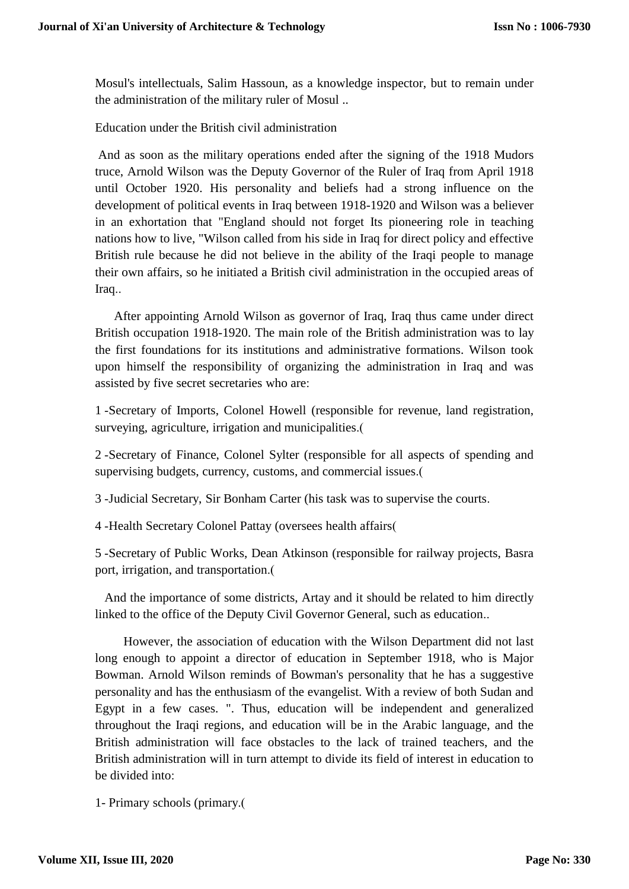Mosul's intellectuals, Salim Hassoun, as a knowledge inspector, but to remain under the administration of the military ruler of Mosul ..

Education under the British civil administration

And as soon as the military operations ended after the signing of the 1918 Mudors truce, Arnold Wilson was the Deputy Governor of the Ruler of Iraq from April 1918 until October 1920. His personality and beliefs had a strong influence on the development of political events in Iraq between 1918-1920 and Wilson was a believer in an exhortation that "England should not forget Its pioneering role in teaching nations how to live, "Wilson called from his side in Iraq for direct policy and effective British rule because he did not believe in the ability of the Iraqi people to manage their own affairs, so he initiated a British civil administration in the occupied areas of Iraq..

After appointing Arnold Wilson as governor of Iraq, Iraq thus came under direct British occupation 1918-1920. The main role of the British administration was to lay the first foundations for its institutions and administrative formations. Wilson took upon himself the responsibility of organizing the administration in Iraq and was assisted by five secret secretaries who are:

1 -Secretary of Imports, Colonel Howell (responsible for revenue, land registration, surveying, agriculture, irrigation and municipalities.

2 -Secretary of Finance, Colonel Sylter (responsible for all aspects of spending and supervising budgets, currency, customs, and commercial issues.(

3 -Judicial Secretary, Sir Bonham Carter (his task was to supervise the courts.

4 -Health Secretary Colonel Pattay (oversees health affairs)

5 -Secretary of Public Works, Dean Atkinson (responsible for railway projects, Basra port, irrigation, and transportation.

And the importance of some districts, Artay and it should be related to him directly linked to the office of the Deputy Civil Governor General, such as education..

However, the association of education with the Wilson Department did not last long enough to appoint a director of education in September 1918, who is Major Bowman. Arnold Wilson reminds of Bowman's personality that he has a suggestive personality and has the enthusiasm of the evangelist. With a review of both Sudan and Egypt in a few cases. ". Thus, education will be independent and generalized throughout the Iraqi regions, and education will be in the Arabic language, and the British administration will face obstacles to the lack of trained teachers, and the British administration will in turn attempt to divide its field of interest in education to be divided into:

1- Primary schools (primary.)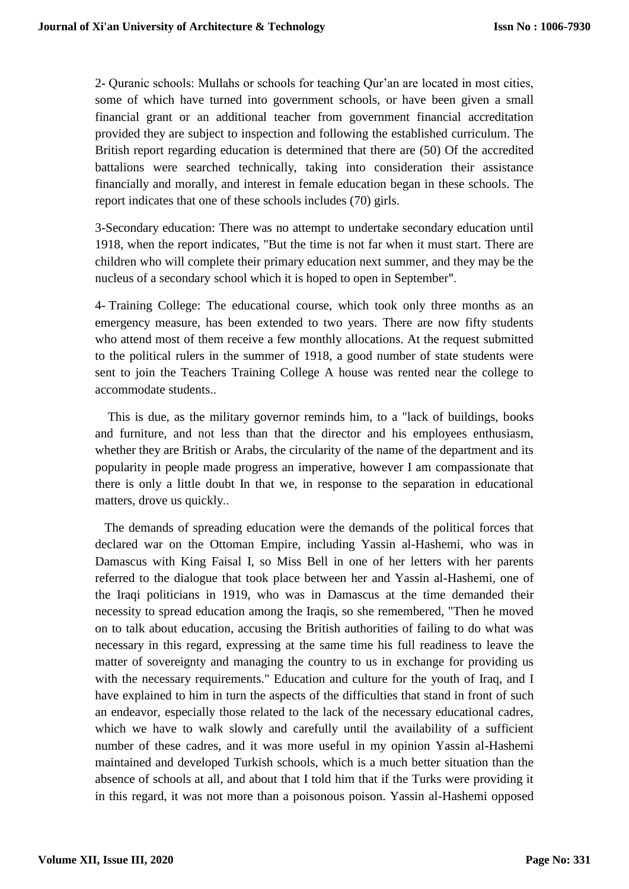2- Quranic schools: Mullahs or schools for teaching Qur'an are located in most cities, some of which have turned into government schools, or have been given a small financial grant or an additional teacher from government financial accreditation provided they are subject to inspection and following the established curriculum. The British report regarding education is determined that there are (50) Of the accredited battalions were searched technically, taking into consideration their assistance financially and morally, and interest in female education began in these schools. The report indicates that one of these schools includes (70) girls.

3-Secondary education: There was no attempt to undertake secondary education until 1918, when the report indicates, "But the time is not far when it must start. There are children who will complete their primary education next summer, and they may be the nucleus of a secondary school which it is hoped to open in September".

4- Training College: The educational course, which took only three months as an emergency measure, has been extended to two years. There are now fifty students who attend most of them receive a few monthly allocations. At the request submitted to the political rulers in the summer of 1918, a good number of state students were sent to join the Teachers Training College A house was rented near the college to accommodate students..

This is due, as the military governor reminds him, to a "lack of buildings, books and furniture, and not less than that the director and his employees enthusiasm, whether they are British or Arabs, the circularity of the name of the department and its popularity in people made progress an imperative, however I am compassionate that there is only a little doubt In that we, in response to the separation in educational matters, drove us quickly..

The demands of spreading education were the demands of the political forces that declared war on the Ottoman Empire, including Yassin al-Hashemi, who was in Damascus with King Faisal I, so Miss Bell in one of her letters with her parents referred to the dialogue that took place between her and Yassin al-Hashemi, one of the Iraqi politicians in 1919, who was in Damascus at the time demanded their necessity to spread education among the Iraqis, so she remembered, "Then he moved on to talk about education, accusing the British authorities of failing to do what was necessary in this regard, expressing at the same time his full readiness to leave the matter of sovereignty and managing the country to us in exchange for providing us with the necessary requirements." Education and culture for the youth of Iraq, and I have explained to him in turn the aspects of the difficulties that stand in front of such an endeavor, especially those related to the lack of the necessary educational cadres, which we have to walk slowly and carefully until the availability of a sufficient number of these cadres, and it was more useful in my opinion Yassin al-Hashemi maintained and developed Turkish schools, which is a much better situation than the absence of schools at all, and about that I told him that if the Turks were providing it in this regard, it was not more than a poisonous poison. Yassin al-Hashemi opposed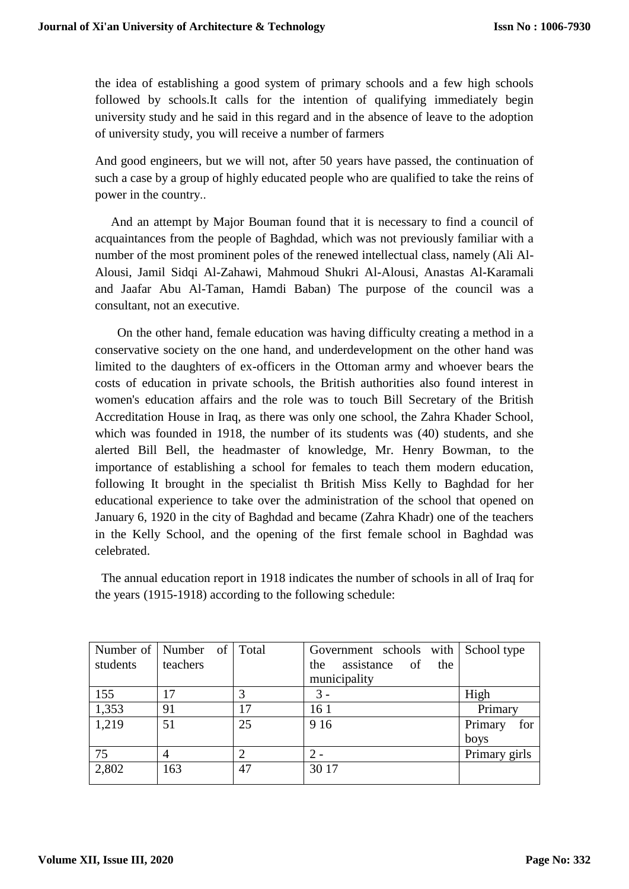the idea of establishing a good system of primary schools and a few high schools followed by schools.It calls for the intention of qualifying immediately begin university study and he said in this regard and in the absence of leave to the adoption of university study, you will receive a number of farmers

And good engineers, but we will not, after 50 years have passed, the continuation of such a case by a group of highly educated people who are qualified to take the reins of power in the country..

And an attempt by Major Bouman found that it is necessary to find a council of acquaintances from the people of Baghdad, which was not previously familiar with a number of the most prominent poles of the renewed intellectual class, namely (Ali Al-Alousi, Jamil Sidqi Al-Zahawi, Mahmoud Shukri Al-Alousi, Anastas Al-Karamali and Jaafar Abu Al-Taman, Hamdi Baban) The purpose of the council was a consultant, not an executive.

On the other hand, female education was having difficulty creating a method in a conservative society on the one hand, and underdevelopment on the other hand was limited to the daughters of ex-officers in the Ottoman army and whoever bears the costs of education in private schools, the British authorities also found interest in women's education affairs and the role was to touch Bill Secretary of the British Accreditation House in Iraq, as there was only one school, the Zahra Khader School, which was founded in 1918, the number of its students was (40) students, and she alerted Bill Bell, the headmaster of knowledge, Mr. Henry Bowman, to the importance of establishing a school for females to teach them modern education, following It brought in the specialist th British Miss Kelly to Baghdad for her educational experience to take over the administration of the school that opened on January 6, 1920 in the city of Baghdad and became (Zahra Khadr) one of the teachers in the Kelly School, and the opening of the first female school in Baghdad was celebrated.

The annual education report in 1918 indicates the number of schools in all of Iraq for the years (1915-1918) according to the following schedule:

| students | Number of   Number of  <br>teachers | Total          | Government schools with School type<br>assistance<br>of<br>the<br>the<br>municipality |                        |
|----------|-------------------------------------|----------------|---------------------------------------------------------------------------------------|------------------------|
| 155      | 17                                  |                | 3 -                                                                                   | High                   |
| 1,353    | 91                                  | 17             | 16 1                                                                                  | Primary                |
| 1,219    | 51                                  | 25             | 9 1 6                                                                                 | Primary<br>for<br>boys |
| 75       | $\overline{4}$                      | $\overline{c}$ | $2 -$                                                                                 | Primary girls          |
| 2,802    | 163                                 | 47             | 30 17                                                                                 |                        |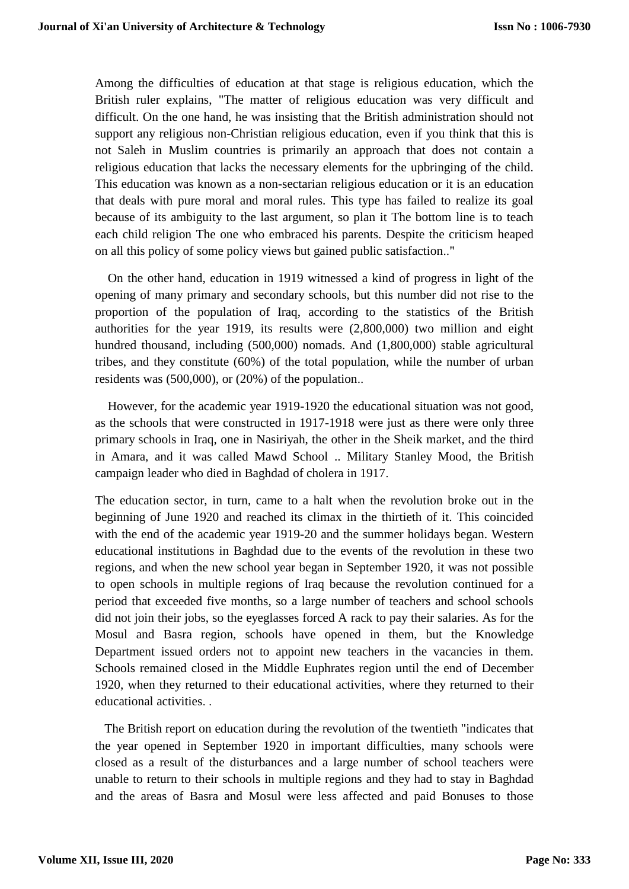Among the difficulties of education at that stage is religious education, which the British ruler explains, "The matter of religious education was very difficult and difficult. On the one hand, he was insisting that the British administration should not support any religious non-Christian religious education, even if you think that this is not Saleh in Muslim countries is primarily an approach that does not contain a religious education that lacks the necessary elements for the upbringing of the child. This education was known as a non-sectarian religious education or it is an education that deals with pure moral and moral rules. This type has failed to realize its goal because of its ambiguity to the last argument, so plan it The bottom line is to teach each child religion The one who embraced his parents. Despite the criticism heaped on all this policy of some policy views but gained public satisfaction.."

On the other hand, education in 1919 witnessed a kind of progress in light of the opening of many primary and secondary schools, but this number did not rise to the proportion of the population of Iraq, according to the statistics of the British authorities for the year 1919, its results were (2,800,000) two million and eight hundred thousand, including (500,000) nomads. And (1,800,000) stable agricultural tribes, and they constitute (60%) of the total population, while the number of urban residents was (500,000), or (20%) of the population..

However, for the academic year 1919-1920 the educational situation was not good, as the schools that were constructed in 1917-1918 were just as there were only three primary schools in Iraq, one in Nasiriyah, the other in the Sheik market, and the third in Amara, and it was called Mawd School .. Military Stanley Mood, the British campaign leader who died in Baghdad of cholera in 1917.

The education sector, in turn, came to a halt when the revolution broke out in the beginning of June 1920 and reached its climax in the thirtieth of it. This coincided with the end of the academic year 1919-20 and the summer holidays began. Western educational institutions in Baghdad due to the events of the revolution in these two regions, and when the new school year began in September 1920, it was not possible to open schools in multiple regions of Iraq because the revolution continued for a period that exceeded five months, so a large number of teachers and school schools did not join their jobs, so the eyeglasses forced A rack to pay their salaries. As for the Mosul and Basra region, schools have opened in them, but the Knowledge Department issued orders not to appoint new teachers in the vacancies in them. Schools remained closed in the Middle Euphrates region until the end of December 1920, when they returned to their educational activities, where they returned to their educational activities. .

The British report on education during the revolution of the twentieth "indicates that the year opened in September 1920 in important difficulties, many schools were closed as a result of the disturbances and a large number of school teachers were unable to return to their schools in multiple regions and they had to stay in Baghdad and the areas of Basra and Mosul were less affected and paid Bonuses to those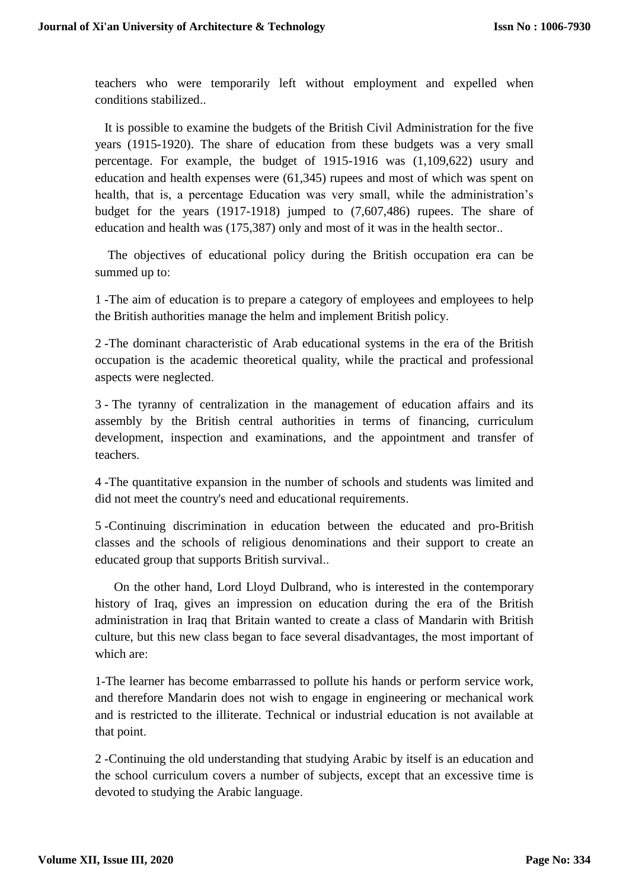teachers who were temporarily left without employment and expelled when conditions stabilized..

It is possible to examine the budgets of the British Civil Administration for the five years (1915-1920). The share of education from these budgets was a very small percentage. For example, the budget of 1915-1916 was (1,109,622) usury and education and health expenses were (61,345) rupees and most of which was spent on health, that is, a percentage Education was very small, while the administration's budget for the years (1917-1918) jumped to (7,607,486) rupees. The share of education and health was (175,387) only and most of it was in the health sector..

The objectives of educational policy during the British occupation era can be summed up to:

1 -The aim of education is to prepare a category of employees and employees to help the British authorities manage the helm and implement British policy.

2 -The dominant characteristic of Arab educational systems in the era of the British occupation is the academic theoretical quality, while the practical and professional aspects were neglected.

3 - The tyranny of centralization in the management of education affairs and its assembly by the British central authorities in terms of financing, curriculum development, inspection and examinations, and the appointment and transfer of teachers.

4 -The quantitative expansion in the number of schools and students was limited and did not meet the country's need and educational requirements.

5 -Continuing discrimination in education between the educated and pro-British classes and the schools of religious denominations and their support to create an educated group that supports British survival..

On the other hand, Lord Lloyd Dulbrand, who is interested in the contemporary history of Iraq, gives an impression on education during the era of the British administration in Iraq that Britain wanted to create a class of Mandarin with British culture, but this new class began to face several disadvantages, the most important of which are:

1-The learner has become embarrassed to pollute his hands or perform service work, and therefore Mandarin does not wish to engage in engineering or mechanical work and is restricted to the illiterate. Technical or industrial education is not available at that point.

2 -Continuing the old understanding that studying Arabic by itself is an education and the school curriculum covers a number of subjects, except that an excessive time is devoted to studying the Arabic language.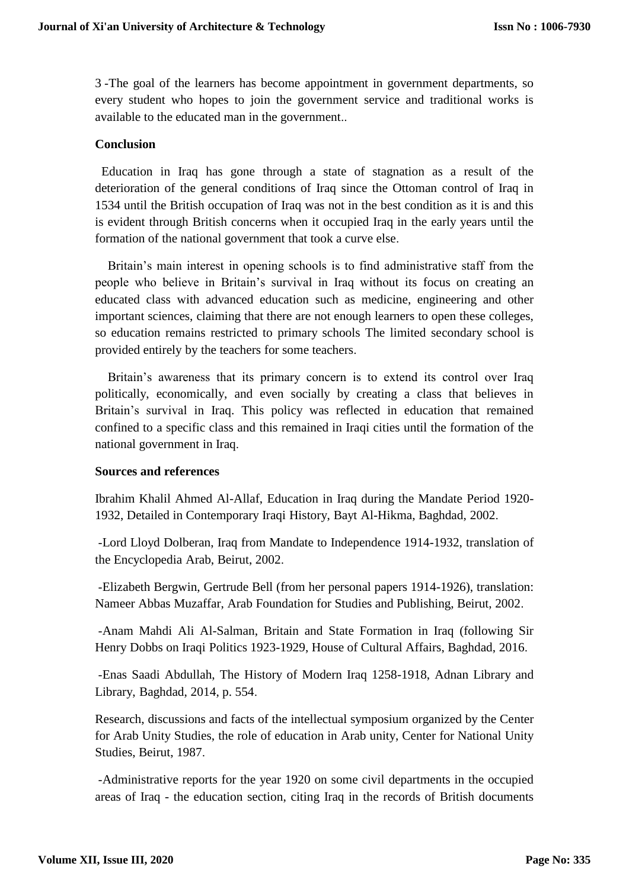3 -The goal of the learners has become appointment in government departments, so every student who hopes to join the government service and traditional works is available to the educated man in the government..

## **Conclusion**

Education in Iraq has gone through a state of stagnation as a result of the deterioration of the general conditions of Iraq since the Ottoman control of Iraq in 1534 until the British occupation of Iraq was not in the best condition as it is and this is evident through British concerns when it occupied Iraq in the early years until the formation of the national government that took a curve else.

Britain's main interest in opening schools is to find administrative staff from the people who believe in Britain's survival in Iraq without its focus on creating an educated class with advanced education such as medicine, engineering and other important sciences, claiming that there are not enough learners to open these colleges, so education remains restricted to primary schools The limited secondary school is provided entirely by the teachers for some teachers.

Britain's awareness that its primary concern is to extend its control over Iraq politically, economically, and even socially by creating a class that believes in Britain's survival in Iraq. This policy was reflected in education that remained confined to a specific class and this remained in Iraqi cities until the formation of the national government in Iraq.

### **Sources and references**

Ibrahim Khalil Ahmed Al-Allaf, Education in Iraq during the Mandate Period 1920- 1932, Detailed in Contemporary Iraqi History, Bayt Al-Hikma, Baghdad, 2002.

-Lord Lloyd Dolberan, Iraq from Mandate to Independence 1914-1932, translation of the Encyclopedia Arab, Beirut, 2002.

-Elizabeth Bergwin, Gertrude Bell (from her personal papers 1914-1926), translation: Nameer Abbas Muzaffar, Arab Foundation for Studies and Publishing, Beirut, 2002.

-Anam Mahdi Ali Al-Salman, Britain and State Formation in Iraq (following Sir Henry Dobbs on Iraqi Politics 1923-1929, House of Cultural Affairs, Baghdad, 2016.

-Enas Saadi Abdullah, The History of Modern Iraq 1258-1918, Adnan Library and Library, Baghdad, 2014, p. 554.

Research, discussions and facts of the intellectual symposium organized by the Center for Arab Unity Studies, the role of education in Arab unity, Center for National Unity Studies, Beirut, 1987.

-Administrative reports for the year 1920 on some civil departments in the occupied areas of Iraq - the education section, citing Iraq in the records of British documents